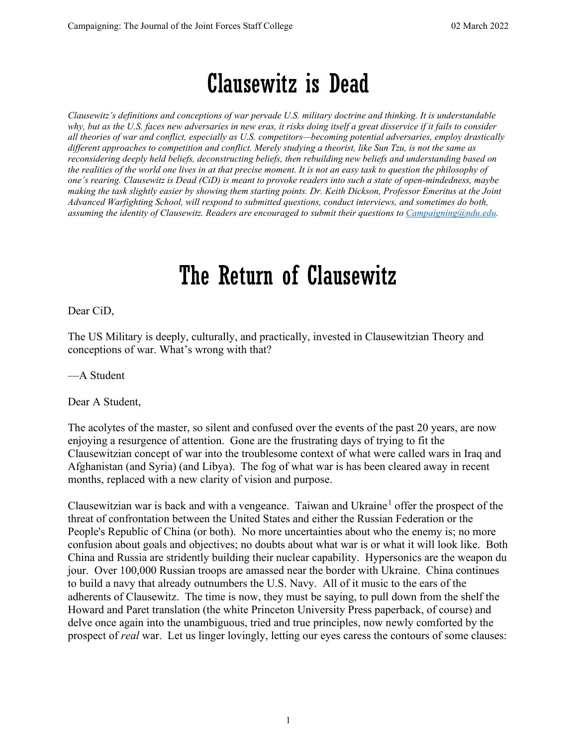## Clausewitz is Dead

*Clausewitz's definitions and conceptions of war pervade U.S. military doctrine and thinking. It is understandable why, but as the U.S. faces new adversaries in new eras, it risks doing itself a great disservice if it fails to consider all theories of war and conflict, especially as U.S. competitors—becoming potential adversaries, employ drastically different approaches to competition and conflict. Merely studying a theorist, like Sun Tzu, is not the same as reconsidering deeply held beliefs, deconstructing beliefs, then rebuilding new beliefs and understanding based on the realities of the world one lives in at that precise moment. It is not an easy task to question the philosophy of one's rearing. Clausewitz is Dead (CiD) is meant to provoke readers into such a state of open-mindedness, maybe making the task slightly easier by showing them starting points. Dr. Keith Dickson, Professor Emeritus at the Joint Advanced Warfighting School, will respond to submitted questions, conduct interviews, and sometimes do both, assuming the identity of Clausewitz. Readers are encouraged to submit their questions to [Campaigning@ndu.edu.](mailto:Campaigning@ndu.edu)*

## The Return of Clausewitz

Dear CiD,

The US Military is deeply, culturally, and practically, invested in Clausewitzian Theory and conceptions of war. What's wrong with that?

—A Student

Dear A Student,

The acolytes of the master, so silent and confused over the events of the past 20 years, are now enjoying a resurgence of attention. Gone are the frustrating days of trying to fit the Clausewitzian concept of war into the troublesome context of what were called wars in Iraq and Afghanistan (and Syria) (and Libya). The fog of what war is has been cleared away in recent months, replaced with a new clarity of vision and purpose.

Clausewitzian war is back and with a vengeance. Taiwan and Ukraine<sup>[1](#page-2-0)</sup> offer the prospect of the threat of confrontation between the United States and either the Russian Federation or the People's Republic of China (or both). No more uncertainties about who the enemy is; no more confusion about goals and objectives; no doubts about what war is or what it will look like. Both China and Russia are stridently building their nuclear capability. Hypersonics are the weapon du jour. Over 100,000 Russian troops are amassed near the border with Ukraine. China continues to build a navy that already outnumbers the U.S. Navy. All of it music to the ears of the adherents of Clausewitz. The time is now, they must be saying, to pull down from the shelf the Howard and Paret translation (the white Princeton University Press paperback, of course) and delve once again into the unambiguous, tried and true principles, now newly comforted by the prospect of *real* war. Let us linger lovingly, letting our eyes caress the contours of some clauses: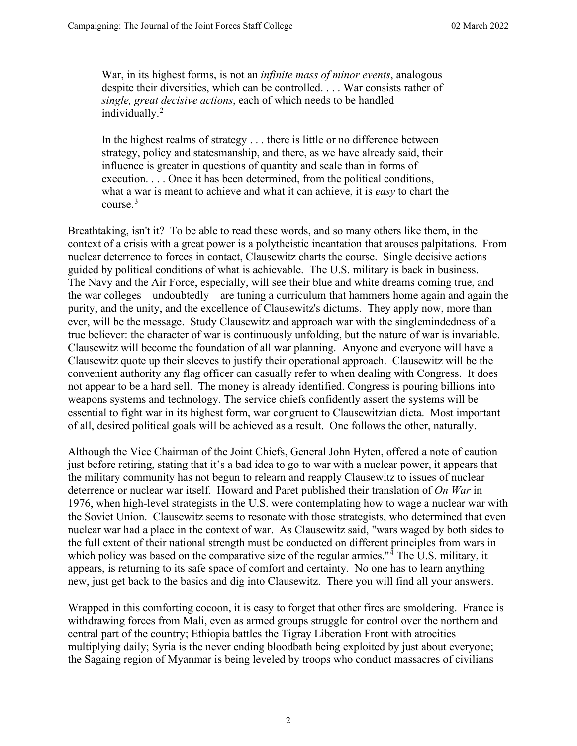War, in its highest forms, is not an *infinite mass of minor events*, analogous despite their diversities, which can be controlled. . . . War consists rather of *single, great decisive actions*, each of which needs to be handled individually.<sup>[2](#page-2-1)</sup>

In the highest realms of strategy . . . there is little or no difference between strategy, policy and statesmanship, and there, as we have already said, their influence is greater in questions of quantity and scale than in forms of execution. . . . Once it has been determined, from the political conditions, what a war is meant to achieve and what it can achieve, it is *easy* to chart the course  $3$ 

Breathtaking, isn't it? To be able to read these words, and so many others like them, in the context of a crisis with a great power is a polytheistic incantation that arouses palpitations. From nuclear deterrence to forces in contact, Clausewitz charts the course. Single decisive actions guided by political conditions of what is achievable. The U.S. military is back in business. The Navy and the Air Force, especially, will see their blue and white dreams coming true, and the war colleges—undoubtedly—are tuning a curriculum that hammers home again and again the purity, and the unity, and the excellence of Clausewitz's dictums. They apply now, more than ever, will be the message. Study Clausewitz and approach war with the singlemindedness of a true believer: the character of war is continuously unfolding, but the nature of war is invariable. Clausewitz will become the foundation of all war planning. Anyone and everyone will have a Clausewitz quote up their sleeves to justify their operational approach. Clausewitz will be the convenient authority any flag officer can casually refer to when dealing with Congress. It does not appear to be a hard sell. The money is already identified. Congress is pouring billions into weapons systems and technology. The service chiefs confidently assert the systems will be essential to fight war in its highest form, war congruent to Clausewitzian dicta. Most important of all, desired political goals will be achieved as a result. One follows the other, naturally.

Although the Vice Chairman of the Joint Chiefs, General John Hyten, offered a note of caution just before retiring, stating that it's a bad idea to go to war with a nuclear power, it appears that the military community has not begun to relearn and reapply Clausewitz to issues of nuclear deterrence or nuclear war itself. Howard and Paret published their translation of *On War* in 1976, when high-level strategists in the U.S. were contemplating how to wage a nuclear war with the Soviet Union. Clausewitz seems to resonate with those strategists, who determined that even nuclear war had a place in the context of war. As Clausewitz said, "wars waged by both sides to the full extent of their national strength must be conducted on different principles from wars in which policy was based on the comparative size of the regular armies."<sup>[4](#page-2-3)</sup> The U.S. military, it appears, is returning to its safe space of comfort and certainty. No one has to learn anything new, just get back to the basics and dig into Clausewitz. There you will find all your answers.

Wrapped in this comforting cocoon, it is easy to forget that other fires are smoldering. France is withdrawing forces from Mali, even as armed groups struggle for control over the northern and central part of the country; Ethiopia battles the Tigray Liberation Front with atrocities multiplying daily; Syria is the never ending bloodbath being exploited by just about everyone; the Sagaing region of Myanmar is being leveled by troops who conduct massacres of civilians